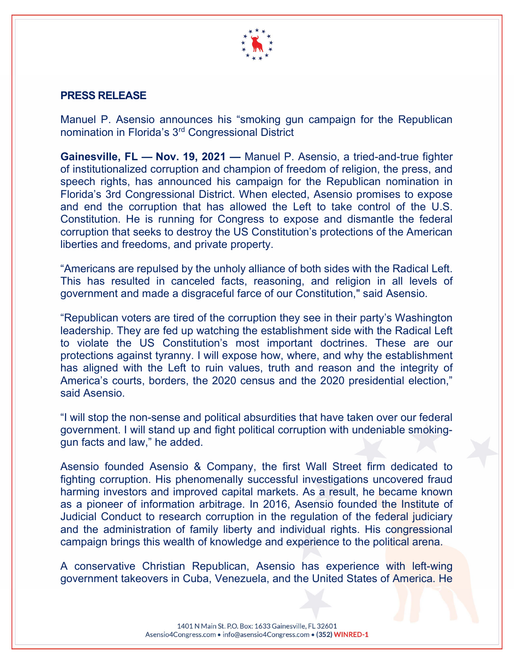

## PRESS RELEASE

Manuel P. Asensio announces his "smoking gun campaign for the Republican nomination in Florida's 3rd Congressional District

Gainesville, FL — Nov. 19, 2021 — Manuel P. Asensio, a tried-and-true fighter of institutionalized corruption and champion of freedom of religion, the press, and speech rights, has announced his campaign for the Republican nomination in Florida's 3rd Congressional District. When elected, Asensio promises to expose and end the corruption that has allowed the Left to take control of the U.S. Constitution. He is running for Congress to expose and dismantle the federal corruption that seeks to destroy the US Constitution's protections of the American liberties and freedoms, and private property.

"Americans are repulsed by the unholy alliance of both sides with the Radical Left. This has resulted in canceled facts, reasoning, and religion in all levels of government and made a disgraceful farce of our Constitution," said Asensio.

"Republican voters are tired of the corruption they see in their party's Washington leadership. They are fed up watching the establishment side with the Radical Left to violate the US Constitution's most important doctrines. These are our protections against tyranny. I will expose how, where, and why the establishment has aligned with the Left to ruin values, truth and reason and the integrity of America's courts, borders, the 2020 census and the 2020 presidential election," said Asensio.

"I will stop the non-sense and political absurdities that have taken over our federal government. I will stand up and fight political corruption with undeniable smokinggun facts and law," he added.

Asensio founded Asensio & Company, the first Wall Street firm dedicated to fighting corruption. His phenomenally successful investigations uncovered fraud harming investors and improved capital markets. As a result, he became known as a pioneer of information arbitrage. In 2016, Asensio founded the Institute of Judicial Conduct to research corruption in the regulation of the federal judiciary and the administration of family liberty and individual rights. His congressional campaign brings this wealth of knowledge and experience to the political arena.

A conservative Christian Republican, Asensio has experience with left-wing government takeovers in Cuba, Venezuela, and the United States of America. He